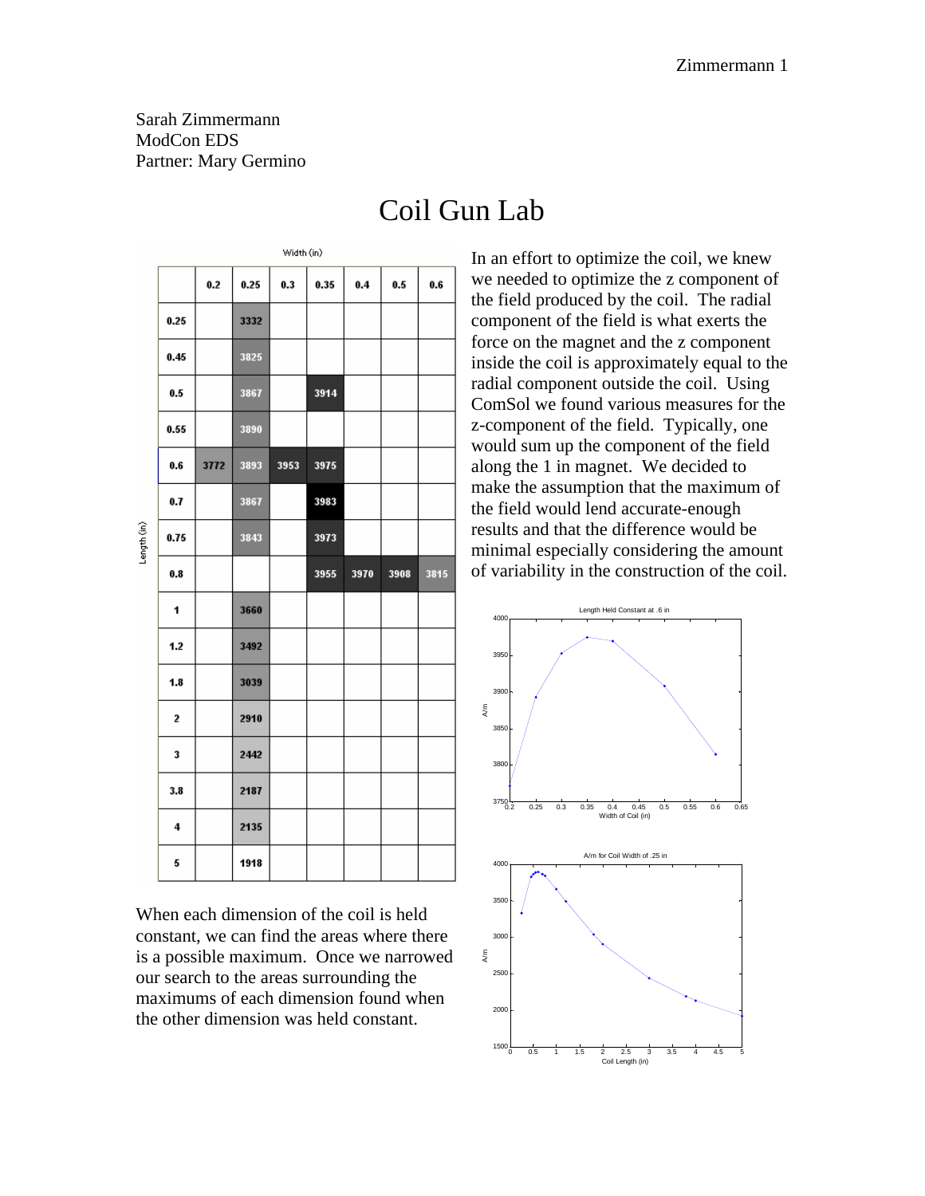Sarah Zimmermann ModCon EDS Partner: Mary Germino

|             | vviusu suv |      |      |      |      |      |         |      |  |
|-------------|------------|------|------|------|------|------|---------|------|--|
| Length (in) |            | 0.2  | 0.25 | 0.3  | 0.35 | 0.4  | $0.5\,$ | 0.6  |  |
|             | 0.25       |      | 3332 |      |      |      |         |      |  |
|             | 0.45       |      | 3825 |      |      |      |         |      |  |
|             | 0.5        |      | 3867 |      | 3914 |      |         |      |  |
|             | 0.55       |      | 3890 |      |      |      |         |      |  |
|             | 0.6        | 3772 | 3893 | 3953 | 3975 |      |         |      |  |
|             | 0.7        |      | 3867 |      | 3983 |      |         |      |  |
|             | 0.75       |      | 3843 |      | 3973 |      |         |      |  |
|             | 0.8        |      |      |      | 3955 | 3970 | 3908    | 3815 |  |
|             |            |      |      |      |      |      |         |      |  |
|             | 1          |      | 3660 |      |      |      |         |      |  |
|             | 1.2        |      | 3492 |      |      |      |         |      |  |
|             | 1.8        |      | 3039 |      |      |      |         |      |  |
|             | 2          |      | 2910 |      |      |      |         |      |  |
|             | 3          |      | 2442 |      |      |      |         |      |  |
|             | 3.8        |      | 2187 |      |      |      |         |      |  |
|             | 4          |      | 2135 |      |      |      |         |      |  |

Coil Gun Lab

In an effort to optimize the coil, we knew we needed to optimize the z component of the field produced by the coil. The radial component of the field is what exerts the force on the magnet and the z component inside the coil is approximately equal to the radial component outside the coil. Using ComSol we found various measures for the z-component of the field. Typically, one would sum up the component of the field along the 1 in magnet. We decided to make the assumption that the maximum of the field would lend accurate-enough results and that the difference would be minimal especially considering the amount of variability in the construction of the coil.



When each dimension of the coil is held constant, we can find the areas where there is a possible maximum. Once we narrowed our search to the areas surrounding the maximums of each dimension found when the other dimension was held constant.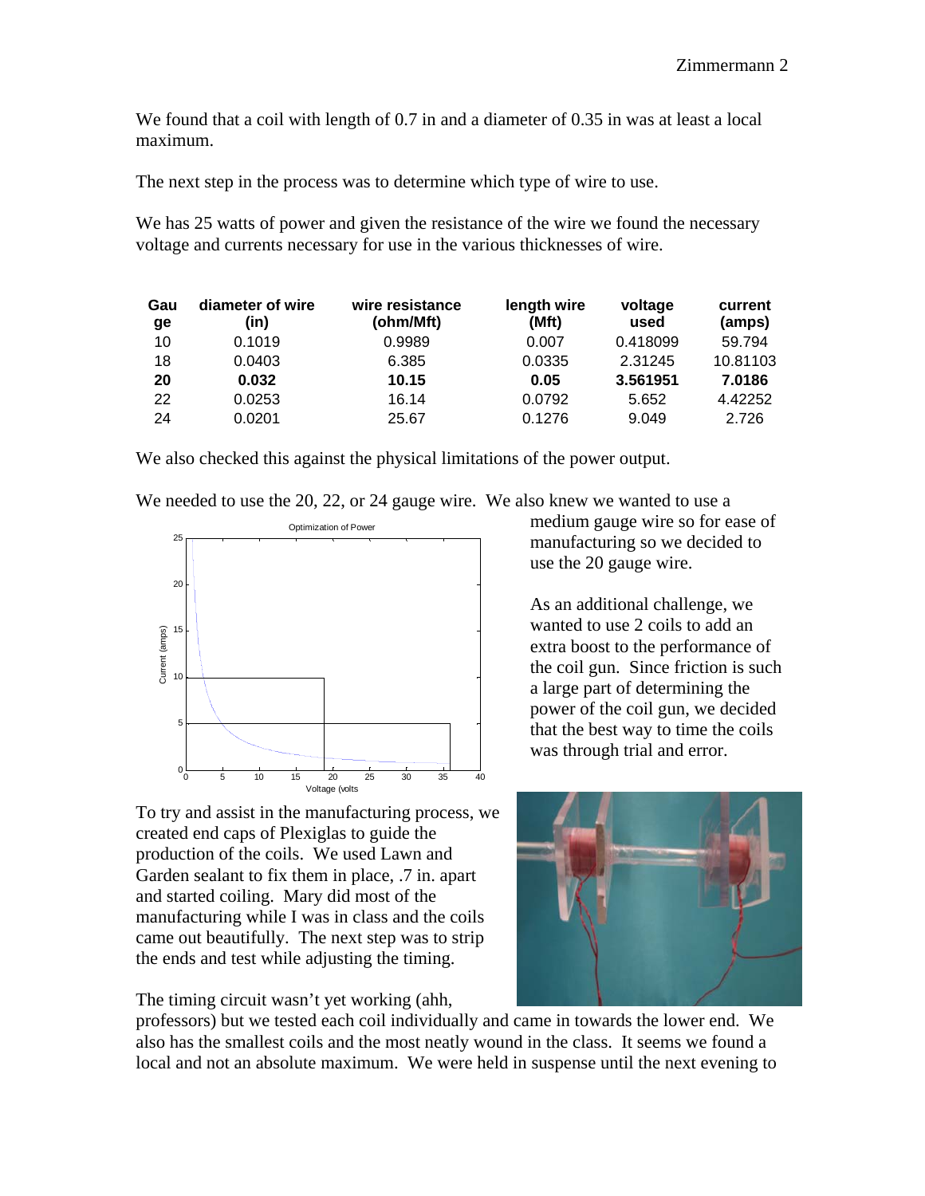We found that a coil with length of 0.7 in and a diameter of 0.35 in was at least a local maximum.

The next step in the process was to determine which type of wire to use.

We has 25 watts of power and given the resistance of the wire we found the necessary voltage and currents necessary for use in the various thicknesses of wire.

| Gau<br>ge | diameter of wire<br>(in) | wire resistance<br>(ohm/Mft) | length wire<br>(Mft) | voltage<br>used | current<br>(amps) |
|-----------|--------------------------|------------------------------|----------------------|-----------------|-------------------|
| 10        | 0.1019                   | 0.9989                       | 0.007                | 0.418099        | 59.794            |
| 18        | 0.0403                   | 6.385                        | 0.0335               | 2.31245         | 10.81103          |
| 20        | 0.032                    | 10.15                        | 0.05                 | 3.561951        | 7.0186            |
| 22        | 0.0253                   | 16.14                        | 0.0792               | 5.652           | 4.42252           |
| 24        | 0.0201                   | 25.67                        | 0.1276               | 9.049           | 2.726             |

We also checked this against the physical limitations of the power output.

We needed to use the 20, 22, or 24 gauge wire. We also knew we wanted to use a



To try and assist in the manufacturing process, we created end caps of Plexiglas to guide the production of the coils. We used Lawn and Garden sealant to fix them in place, .7 in. apart and started coiling. Mary did most of the manufacturing while I was in class and the coils came out beautifully. The next step was to strip the ends and test while adjusting the timing.

The timing circuit wasn't yet working (ahh,

medium gauge wire so for ease of manufacturing so we decided to use the 20 gauge wire.

As an additional challenge, we wanted to use 2 coils to add an extra boost to the performance of the coil gun. Since friction is such a large part of determining the power of the coil gun, we decided that the best way to time the coils was through trial and error.



professors) but we tested each coil individually and came in towards the lower end. We also has the smallest coils and the most neatly wound in the class. It seems we found a local and not an absolute maximum. We were held in suspense until the next evening to